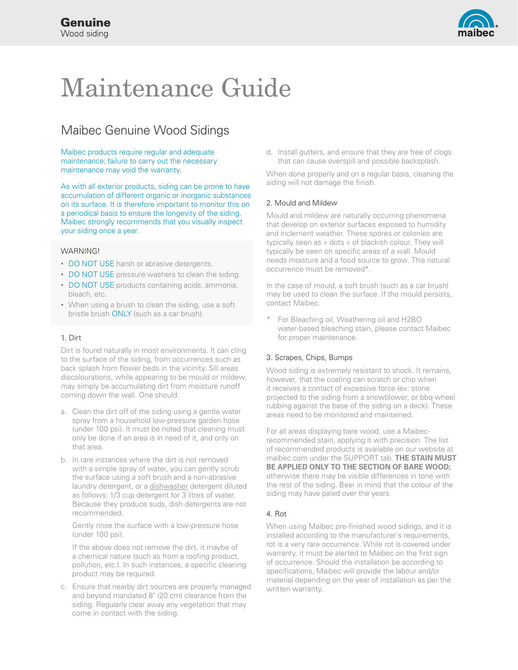

# Maintenance Guide

# Maibec Genuine Wood Sidings

Maibec products require regular and adequate maintenance; failure to carry out the necessary maintenance may void the warranty.

As with all exterior products, siding can be prone to have accumulation of different organic or inorganic substances on its surface. It is therefore important to monitor this on a periodical basis to ensure the longevity of the siding. Maibec strongly recommends that you visually inspect your siding once a year.

# WARNING!

- DO NOT USE harsh or abrasive detergents.
- DO NOT USE pressure washers to clean the siding.
- DO NOT USE products containing acids, ammonia, bleach, etc.
- When using a brush to clean the siding, use a soft bristle brush ONLY (such as a car brush).

#### 1. Dirt

Dirt is found naturally in most environments. It can cling to the surface of the siding, from occurrences such as back splash from flower beds in the vicinity. Sill areas discolourations, while appearing to be mould or mildew, may simply be accumulating dirt from moisture runoff coming down the wall. One should:

- a. Clean the dirt off of the siding using a gentle water spray from a household low-pressure garden hose (under 100 psi). It must be noted that cleaning must only be done if an area is in need of it, and only on that area.
- b. In rare instances where the dirt is not removed with a simple spray of water, you can gently scrub the surface using a soft brush and a non-abrasive laundry detergent, or a dishwasher detergent diluted as follows: 1/3 cup detergent for 3 litres of water. Because they produce suds, dish detergents are not recommended.

Gently rinse the surface with a low-pressure hose (under 100 psi).

If the above does not remove the dirt, it maybe of a chemical nature (such as from a roofing product, pollution, etc.). In such instances, a specific cleaning product may be required.

c. Ensure that nearby dirt sources are properly managed and beyond mandated 8" (20 cm) clearance from the siding. Regularly clear away any vegetation that may come in contact with the siding.

d. Install gutters, and ensure that they are free of clogs that can cause overspill and possible backsplash.

When done properly and on a regular basis, cleaning the siding will not damage the finish.

# 2. Mould and Mildew

Mould and mildew are naturally occurring phenomena that develop on exterior surfaces exposed to humidity and inclement weather. These spores or colonies are typically seen as « dots » of blackish colour. They will typically be seen on specific areas of a wall. Mould needs moisture and a food source to grow. This natural occurrence must be removed\*.

In the case of mould, a soft brush (such as a car brush) may be used to clean the surface. If the mould persists, contact Maibec.

For Bleaching oil, Weathering oil and H2BO water-based bleaching stain, please contact Maibec for proper maintenance.

#### 3. Scrapes, Chips, Bumps

Wood siding is extremely resistant to shock. It remains, however, that the coating can scratch or chip when it receives a contact of excessive force (ex: stone projected to the siding from a snowblower, or bbq wheel rubbing against the base of the siding on a deck). These areas need to be monitored and maintained.

For all areas displaying bare wood, use a Maibecrecommended stain, applying it with precision. The list of recommended products is available on our website at maibec.com under the SUPPORT tab. **THE STAIN MUST BE APPLIED ONLY TO THE SECTION OF BARE WOOD;**  otherwise there may be visible differences in tone with the rest of the siding. Bear in mind that the colour of the siding may have paled over the years.

#### 4. Rot

When using Maibec pre-finished wood sidings, and it is installed according to the manufacturer`s requirements, rot is a very rare occurrence. While rot is covered under warranty, it must be alerted to Maibec on the first sign of occurrence. Should the installation be according to specifications, Maibec will provide the labour and/or material depending on the year of installation as per the written warranty.